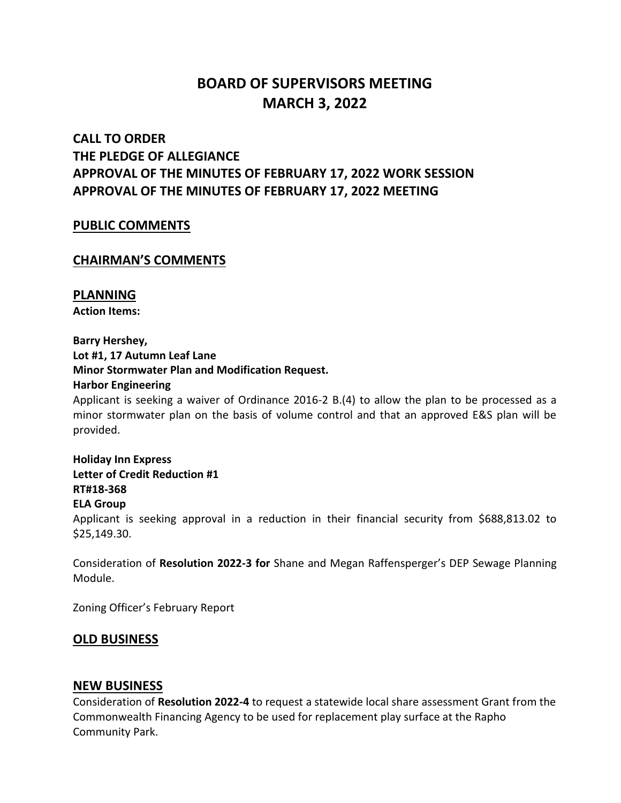# **BOARD OF SUPERVISORS MEETING MARCH 3, 2022**

## **CALL TO ORDER THE PLEDGE OF ALLEGIANCE APPROVAL OF THE MINUTES OF FEBRUARY 17, 2022 WORK SESSION APPROVAL OF THE MINUTES OF FEBRUARY 17, 2022 MEETING**

#### **PUBLIC COMMENTS**

### **CHAIRMAN'S COMMENTS**

### **PLANNING**

**Action Items:**

#### **Barry Hershey,**

**Lot #1, 17 Autumn Leaf Lane**

#### **Minor Stormwater Plan and Modification Request.**

#### **Harbor Engineering**

Applicant is seeking a waiver of Ordinance 2016-2 B.(4) to allow the plan to be processed as a minor stormwater plan on the basis of volume control and that an approved E&S plan will be provided.

**Holiday Inn Express Letter of Credit Reduction #1 RT#18-368 ELA Group** Applicant is seeking approval in a reduction in their financial security from \$688,813.02 to \$25,149.30.

Consideration of **Resolution 2022-3 for** Shane and Megan Raffensperger's DEP Sewage Planning Module.

Zoning Officer's February Report

## **OLD BUSINESS**

## **NEW BUSINESS**

Consideration of **Resolution 2022-4** to request a statewide local share assessment Grant from the Commonwealth Financing Agency to be used for replacement play surface at the Rapho Community Park.